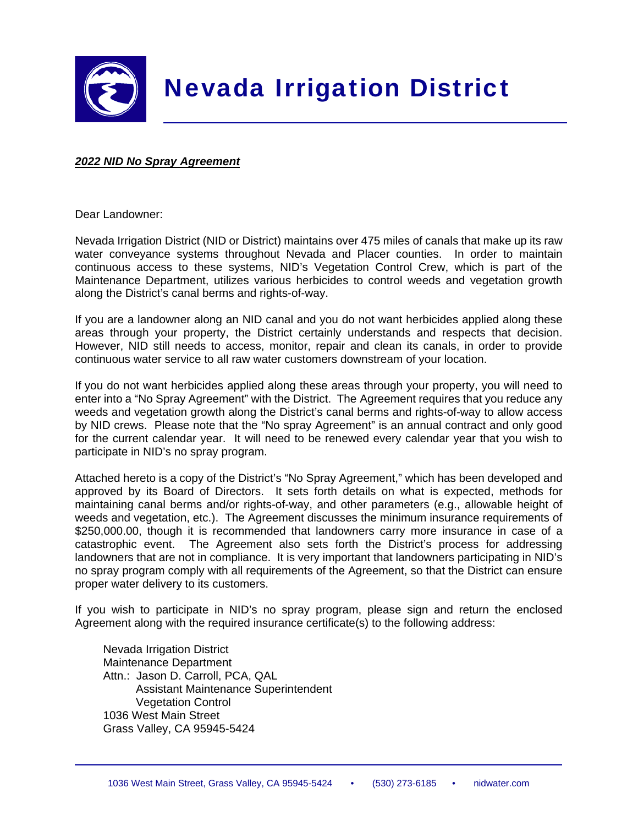

# Nevada Irrigation District

### *2022 NID No Spray Agreement*

Dear Landowner:

Nevada Irrigation District (NID or District) maintains over 475 miles of canals that make up its raw water conveyance systems throughout Nevada and Placer counties. In order to maintain continuous access to these systems, NID's Vegetation Control Crew, which is part of the Maintenance Department, utilizes various herbicides to control weeds and vegetation growth along the District's canal berms and rights-of-way.

If you are a landowner along an NID canal and you do not want herbicides applied along these areas through your property, the District certainly understands and respects that decision. However, NID still needs to access, monitor, repair and clean its canals, in order to provide continuous water service to all raw water customers downstream of your location.

If you do not want herbicides applied along these areas through your property, you will need to enter into a "No Spray Agreement" with the District. The Agreement requires that you reduce any weeds and vegetation growth along the District's canal berms and rights-of-way to allow access by NID crews. Please note that the "No spray Agreement" is an annual contract and only good for the current calendar year. It will need to be renewed every calendar year that you wish to participate in NID's no spray program.

Attached hereto is a copy of the District's "No Spray Agreement," which has been developed and approved by its Board of Directors. It sets forth details on what is expected, methods for maintaining canal berms and/or rights-of-way, and other parameters (e.g., allowable height of weeds and vegetation, etc.). The Agreement discusses the minimum insurance requirements of \$250,000.00, though it is recommended that landowners carry more insurance in case of a catastrophic event. The Agreement also sets forth the District's process for addressing landowners that are not in compliance. It is very important that landowners participating in NID's no spray program comply with all requirements of the Agreement, so that the District can ensure proper water delivery to its customers.

If you wish to participate in NID's no spray program, please sign and return the enclosed Agreement along with the required insurance certificate(s) to the following address:

 Nevada Irrigation District Maintenance Department Attn.: Jason D. Carroll, PCA, QAL Assistant Maintenance Superintendent **Vegetation Control**  1036 West Main Street Grass Valley, CA 95945-5424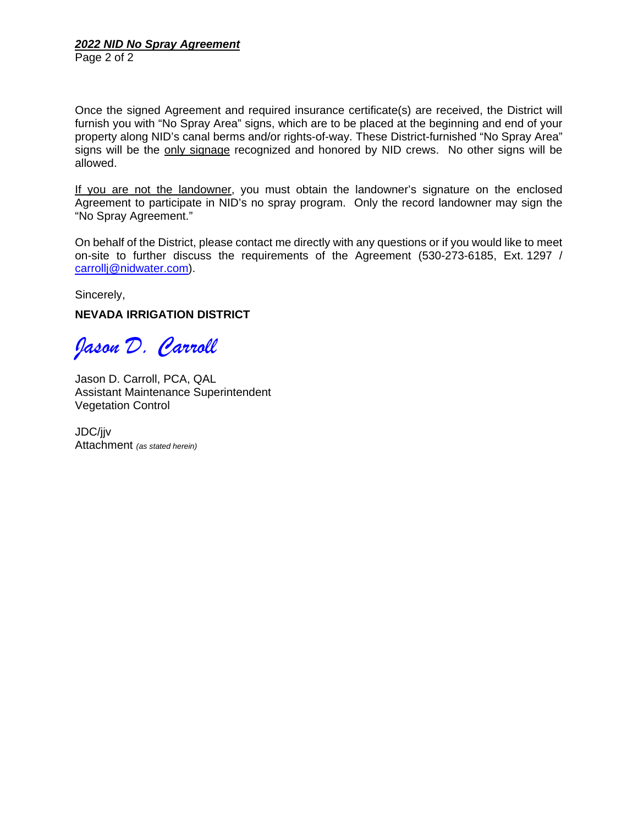Page 2 of 2

Once the signed Agreement and required insurance certificate(s) are received, the District will furnish you with "No Spray Area" signs, which are to be placed at the beginning and end of your property along NID's canal berms and/or rights-of-way. These District-furnished "No Spray Area" signs will be the only signage recognized and honored by NID crews. No other signs will be allowed.

If you are not the landowner, you must obtain the landowner's signature on the enclosed Agreement to participate in NID's no spray program. Only the record landowner may sign the "No Spray Agreement."

On behalf of the District, please contact me directly with any questions or if you would like to meet on-site to further discuss the requirements of the Agreement (530-273-6185, Ext. 1297 / carrollj@nidwater.com).

Sincerely,

## **NEVADA IRRIGATION DISTRICT**

*Jason D. Carroll* 

Jason D. Carroll, PCA, QAL Assistant Maintenance Superintendent Vegetation Control

JDC/jjv Attachment *(as stated herein)*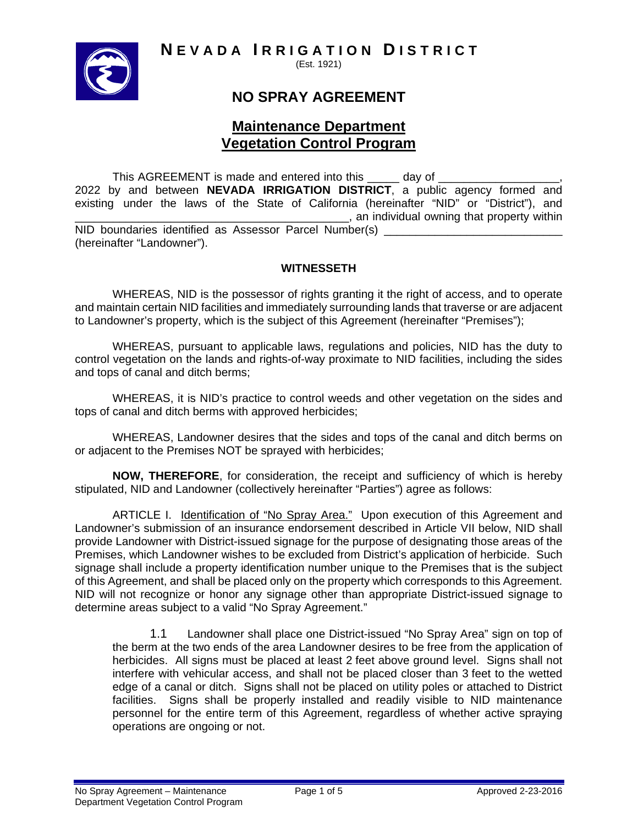**N EVADA I RRIGATION D ISTRICT**



(Est. 1921)

## **NO SPRAY AGREEMENT**

## **Maintenance Department Vegetation Control Program**

This AGREEMENT is made and entered into this \_\_\_\_\_\_\_\_ day of \_ 2022 by and between **NEVADA IRRIGATION DISTRICT**, a public agency formed and existing under the laws of the State of California (hereinafter "NID" or "District"), and \_\_\_\_\_\_\_\_\_\_\_\_\_\_\_\_\_\_\_\_\_\_\_\_\_\_\_\_\_\_\_\_\_\_\_\_\_\_\_\_\_\_\_, an individual owning that property within NID boundaries identified as Assessor Parcel Number(s) \_ (hereinafter "Landowner").

## **WITNESSETH**

 WHEREAS, NID is the possessor of rights granting it the right of access, and to operate and maintain certain NID facilities and immediately surrounding lands that traverse or are adjacent to Landowner's property, which is the subject of this Agreement (hereinafter "Premises");

 WHEREAS, pursuant to applicable laws, regulations and policies, NID has the duty to control vegetation on the lands and rights-of-way proximate to NID facilities, including the sides and tops of canal and ditch berms;

 WHEREAS, it is NID's practice to control weeds and other vegetation on the sides and tops of canal and ditch berms with approved herbicides;

 WHEREAS, Landowner desires that the sides and tops of the canal and ditch berms on or adjacent to the Premises NOT be sprayed with herbicides;

 **NOW, THEREFORE**, for consideration, the receipt and sufficiency of which is hereby stipulated, NID and Landowner (collectively hereinafter "Parties") agree as follows:

 ARTICLE I. Identification of "No Spray Area." Upon execution of this Agreement and Landowner's submission of an insurance endorsement described in Article VII below, NID shall provide Landowner with District-issued signage for the purpose of designating those areas of the Premises, which Landowner wishes to be excluded from District's application of herbicide. Such signage shall include a property identification number unique to the Premises that is the subject of this Agreement, and shall be placed only on the property which corresponds to this Agreement. NID will not recognize or honor any signage other than appropriate District-issued signage to determine areas subject to a valid "No Spray Agreement."

1.1 Landowner shall place one District-issued "No Spray Area" sign on top of the berm at the two ends of the area Landowner desires to be free from the application of herbicides. All signs must be placed at least 2 feet above ground level. Signs shall not interfere with vehicular access, and shall not be placed closer than 3 feet to the wetted edge of a canal or ditch. Signs shall not be placed on utility poles or attached to District facilities. Signs shall be properly installed and readily visible to NID maintenance personnel for the entire term of this Agreement, regardless of whether active spraying operations are ongoing or not.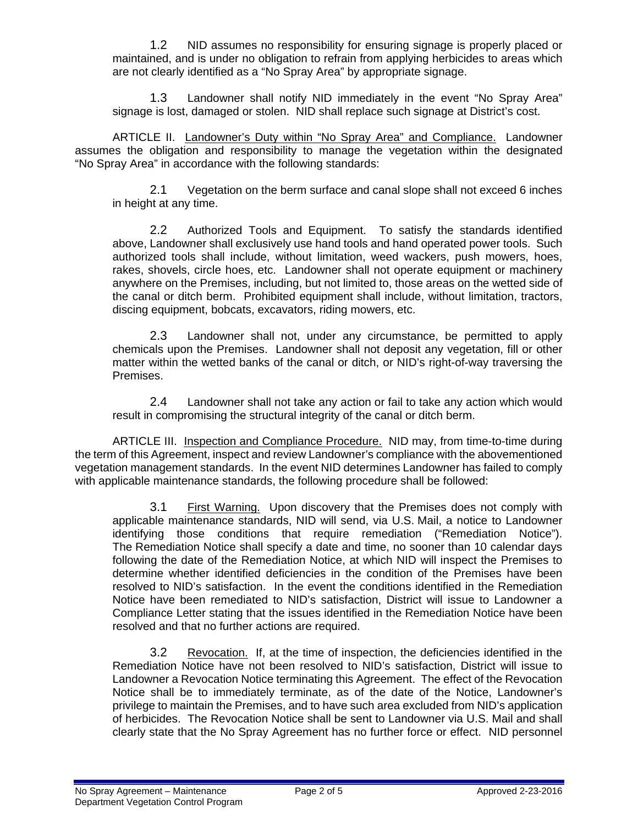1.2 NID assumes no responsibility for ensuring signage is properly placed or maintained, and is under no obligation to refrain from applying herbicides to areas which are not clearly identified as a "No Spray Area" by appropriate signage.

1.3 Landowner shall notify NID immediately in the event "No Spray Area" signage is lost, damaged or stolen. NID shall replace such signage at District's cost.

 ARTICLE II. Landowner's Duty within "No Spray Area" and Compliance. Landowner assumes the obligation and responsibility to manage the vegetation within the designated "No Spray Area" in accordance with the following standards:

2.1 Vegetation on the berm surface and canal slope shall not exceed 6 inches in height at any time.

2.2 Authorized Tools and Equipment. To satisfy the standards identified above, Landowner shall exclusively use hand tools and hand operated power tools. Such authorized tools shall include, without limitation, weed wackers, push mowers, hoes, rakes, shovels, circle hoes, etc. Landowner shall not operate equipment or machinery anywhere on the Premises, including, but not limited to, those areas on the wetted side of the canal or ditch berm. Prohibited equipment shall include, without limitation, tractors, discing equipment, bobcats, excavators, riding mowers, etc.

2.3 Landowner shall not, under any circumstance, be permitted to apply chemicals upon the Premises. Landowner shall not deposit any vegetation, fill or other matter within the wetted banks of the canal or ditch, or NID's right-of-way traversing the Premises.

2.4 Landowner shall not take any action or fail to take any action which would result in compromising the structural integrity of the canal or ditch berm.

ARTICLE III. Inspection and Compliance Procedure. NID may, from time-to-time during the term of this Agreement, inspect and review Landowner's compliance with the abovementioned vegetation management standards. In the event NID determines Landowner has failed to comply with applicable maintenance standards, the following procedure shall be followed:

3.1 First Warning. Upon discovery that the Premises does not comply with applicable maintenance standards, NID will send, via U.S. Mail, a notice to Landowner identifying those conditions that require remediation ("Remediation Notice"). The Remediation Notice shall specify a date and time, no sooner than 10 calendar days following the date of the Remediation Notice, at which NID will inspect the Premises to determine whether identified deficiencies in the condition of the Premises have been resolved to NID's satisfaction. In the event the conditions identified in the Remediation Notice have been remediated to NID's satisfaction, District will issue to Landowner a Compliance Letter stating that the issues identified in the Remediation Notice have been resolved and that no further actions are required.

3.2 Revocation. If, at the time of inspection, the deficiencies identified in the Remediation Notice have not been resolved to NID's satisfaction, District will issue to Landowner a Revocation Notice terminating this Agreement. The effect of the Revocation Notice shall be to immediately terminate, as of the date of the Notice, Landowner's privilege to maintain the Premises, and to have such area excluded from NID's application of herbicides. The Revocation Notice shall be sent to Landowner via U.S. Mail and shall clearly state that the No Spray Agreement has no further force or effect. NID personnel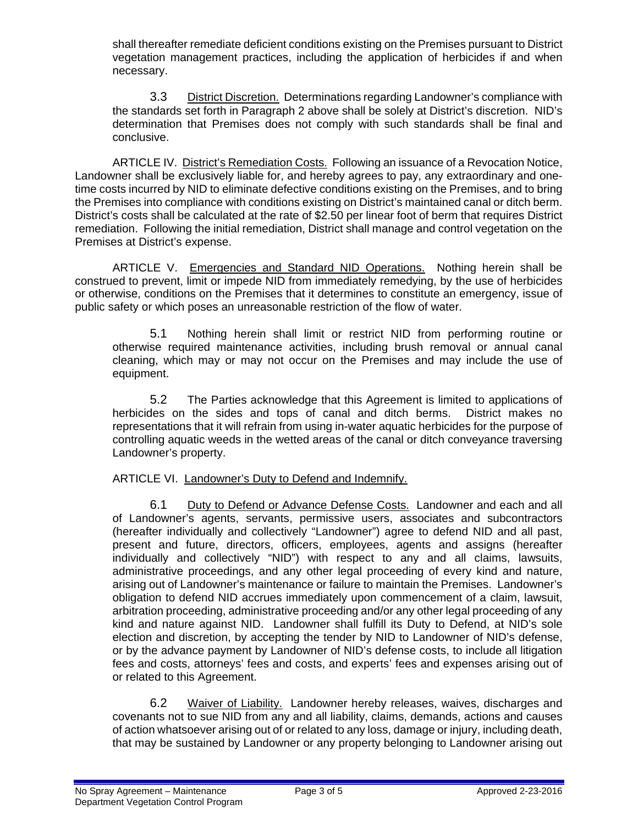shall thereafter remediate deficient conditions existing on the Premises pursuant to District vegetation management practices, including the application of herbicides if and when necessary.

3.3 District Discretion. Determinations regarding Landowner's compliance with the standards set forth in Paragraph 2 above shall be solely at District's discretion. NID's determination that Premises does not comply with such standards shall be final and conclusive.

 ARTICLE IV. District's Remediation Costs. Following an issuance of a Revocation Notice, Landowner shall be exclusively liable for, and hereby agrees to pay, any extraordinary and onetime costs incurred by NID to eliminate defective conditions existing on the Premises, and to bring the Premises into compliance with conditions existing on District's maintained canal or ditch berm. District's costs shall be calculated at the rate of \$2.50 per linear foot of berm that requires District remediation. Following the initial remediation, District shall manage and control vegetation on the Premises at District's expense.

ARTICLE V. Emergencies and Standard NID Operations. Nothing herein shall be construed to prevent, limit or impede NID from immediately remedying, by the use of herbicides or otherwise, conditions on the Premises that it determines to constitute an emergency, issue of public safety or which poses an unreasonable restriction of the flow of water.

5.1 Nothing herein shall limit or restrict NID from performing routine or otherwise required maintenance activities, including brush removal or annual canal cleaning, which may or may not occur on the Premises and may include the use of equipment.

5.2 The Parties acknowledge that this Agreement is limited to applications of herbicides on the sides and tops of canal and ditch berms. District makes no representations that it will refrain from using in-water aquatic herbicides for the purpose of controlling aquatic weeds in the wetted areas of the canal or ditch conveyance traversing Landowner's property.

## ARTICLE VI. Landowner's Duty to Defend and Indemnify.

6.1 Duty to Defend or Advance Defense Costs. Landowner and each and all of Landowner's agents, servants, permissive users, associates and subcontractors (hereafter individually and collectively "Landowner") agree to defend NID and all past, present and future, directors, officers, employees, agents and assigns (hereafter individually and collectively "NID") with respect to any and all claims, lawsuits, administrative proceedings, and any other legal proceeding of every kind and nature, arising out of Landowner's maintenance or failure to maintain the Premises. Landowner's obligation to defend NID accrues immediately upon commencement of a claim, lawsuit, arbitration proceeding, administrative proceeding and/or any other legal proceeding of any kind and nature against NID. Landowner shall fulfill its Duty to Defend, at NID's sole election and discretion, by accepting the tender by NID to Landowner of NID's defense, or by the advance payment by Landowner of NID's defense costs, to include all litigation fees and costs, attorneys' fees and costs, and experts' fees and expenses arising out of or related to this Agreement.

6.2 Waiver of Liability. Landowner hereby releases, waives, discharges and covenants not to sue NID from any and all liability, claims, demands, actions and causes of action whatsoever arising out of or related to any loss, damage or injury, including death, that may be sustained by Landowner or any property belonging to Landowner arising out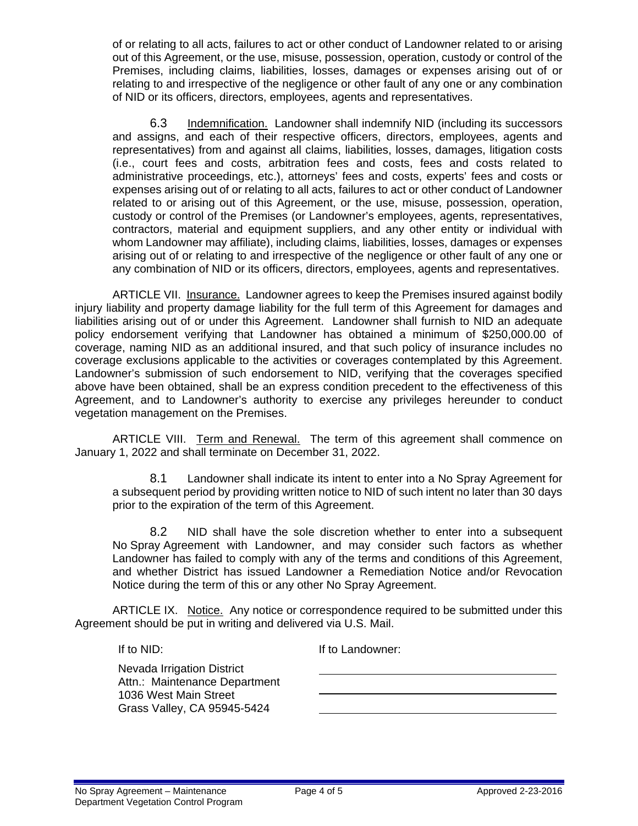of or relating to all acts, failures to act or other conduct of Landowner related to or arising out of this Agreement, or the use, misuse, possession, operation, custody or control of the Premises, including claims, liabilities, losses, damages or expenses arising out of or relating to and irrespective of the negligence or other fault of any one or any combination of NID or its officers, directors, employees, agents and representatives.

6.3 Indemnification. Landowner shall indemnify NID (including its successors and assigns, and each of their respective officers, directors, employees, agents and representatives) from and against all claims, liabilities, losses, damages, litigation costs (i.e., court fees and costs, arbitration fees and costs, fees and costs related to administrative proceedings, etc.), attorneys' fees and costs, experts' fees and costs or expenses arising out of or relating to all acts, failures to act or other conduct of Landowner related to or arising out of this Agreement, or the use, misuse, possession, operation, custody or control of the Premises (or Landowner's employees, agents, representatives, contractors, material and equipment suppliers, and any other entity or individual with whom Landowner may affiliate), including claims, liabilities, losses, damages or expenses arising out of or relating to and irrespective of the negligence or other fault of any one or any combination of NID or its officers, directors, employees, agents and representatives.

 ARTICLE VII. Insurance. Landowner agrees to keep the Premises insured against bodily injury liability and property damage liability for the full term of this Agreement for damages and liabilities arising out of or under this Agreement. Landowner shall furnish to NID an adequate policy endorsement verifying that Landowner has obtained a minimum of \$250,000.00 of coverage, naming NID as an additional insured, and that such policy of insurance includes no coverage exclusions applicable to the activities or coverages contemplated by this Agreement. Landowner's submission of such endorsement to NID, verifying that the coverages specified above have been obtained, shall be an express condition precedent to the effectiveness of this Agreement, and to Landowner's authority to exercise any privileges hereunder to conduct vegetation management on the Premises.

 ARTICLE VIII. Term and Renewal. The term of this agreement shall commence on January 1, 2022 and shall terminate on December 31, 2022.

8.1 Landowner shall indicate its intent to enter into a No Spray Agreement for a subsequent period by providing written notice to NID of such intent no later than 30 days prior to the expiration of the term of this Agreement.

8.2 NID shall have the sole discretion whether to enter into a subsequent No Spray Agreement with Landowner, and may consider such factors as whether Landowner has failed to comply with any of the terms and conditions of this Agreement, and whether District has issued Landowner a Remediation Notice and/or Revocation Notice during the term of this or any other No Spray Agreement.

 ARTICLE IX. Notice. Any notice or correspondence required to be submitted under this Agreement should be put in writing and delivered via U.S. Mail.

> $\overline{a}$  $\overline{a}$

If to NID:

If to Landowner:

Nevada Irrigation District Attn.: Maintenance Department 1036 West Main Street Grass Valley, CA 95945-5424